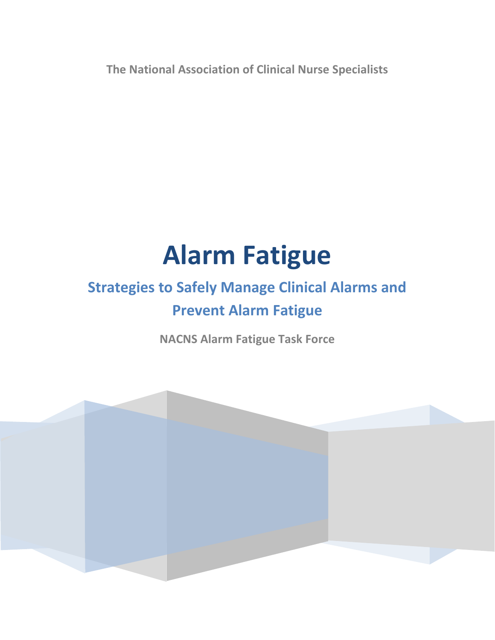**The National Association of Clinical Nurse Specialists**

# **Alarm Fatigue**

## **Strategies to Safely Manage Clinical Alarms and Prevent Alarm Fatigue**

**NACNS Alarm Fatigue Task Force**

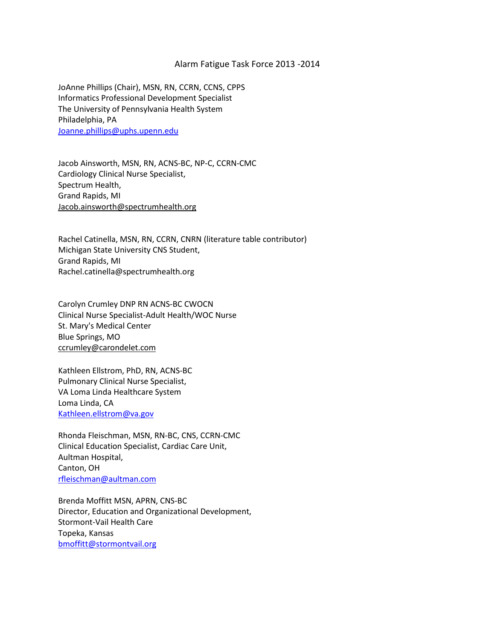#### Alarm Fatigue Task Force 2013 -2014

JoAnne Phillips (Chair), MSN, RN, CCRN, CCNS, CPPS Informatics Professional Development Specialist The University of Pennsylvania Health System Philadelphia, PA [Joanne.phillips@uphs.upenn.edu](mailto:Joanne.phillips@uphs.upenn.edu)

Jacob Ainsworth, MSN, RN, ACNS-BC, NP-C, CCRN-CMC Cardiology Clinical Nurse Specialist, Spectrum Health, Grand Rapids, MI [Jacob.ainsworth@spectrumhealth.org](mailto:Jacob.ainsworth@spectrumhealth.org)

Rachel Catinella, MSN, RN, CCRN, CNRN (literature table contributor) Michigan State University CNS Student, Grand Rapids, MI Rachel.catinella@spectrumhealth.org

Carolyn Crumley DNP RN ACNS-BC CWOCN Clinical Nurse Specialist-Adult Health/WOC Nurse St. Mary's Medical Center Blue Springs, MO [ccrumley@carondelet.com](https://mail.uphs.upenn.edu/owa/redir.aspx?C=t73IMbxt_kGDnZJNjaVf8etiSe4bYdEI4nxXRrOXTSQSw2IrEUZTuRnPEM-SRkGPiwAmygn2Ibk.&URL=mailto%3accrumley%40carondelet.com)

Kathleen Ellstrom, PhD, RN, ACNS-BC Pulmonary Clinical Nurse Specialist, VA Loma Linda Healthcare System Loma Linda, CA [Kathleen.ellstrom@va.gov](mailto:Kathleen.ellstrom@va.gov)

Rhonda Fleischman, MSN, RN-BC, CNS, CCRN-CMC Clinical Education Specialist, Cardiac Care Unit, Aultman Hospital, Canton, OH [rfleischman@aultman.com](mailto:rfleischman@aultman.com)

Brenda Moffitt MSN, APRN, CNS-BC Director, Education and Organizational Development, Stormont-Vail Health Care Topeka, Kansas [bmoffitt@stormontvail.org](mailto:bmoffitt@stormontvail.org)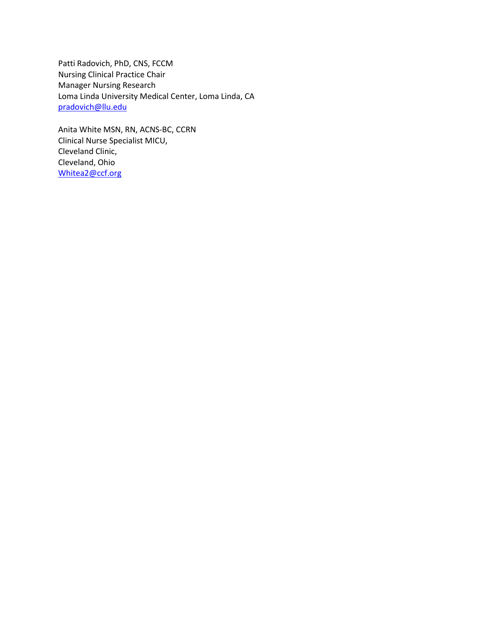Patti Radovich, PhD, CNS, FCCM Nursing Clinical Practice Chair Manager Nursing Research Loma Linda University Medical Center, Loma Linda, CA [pradovich@llu.edu](mailto:pradovich@llu.edu)

Anita White MSN, RN, ACNS-BC, CCRN Clinical Nurse Specialist MICU, Cleveland Clinic, Cleveland, Ohio [Whitea2@ccf.org](mailto:Whitea2@ccf.org)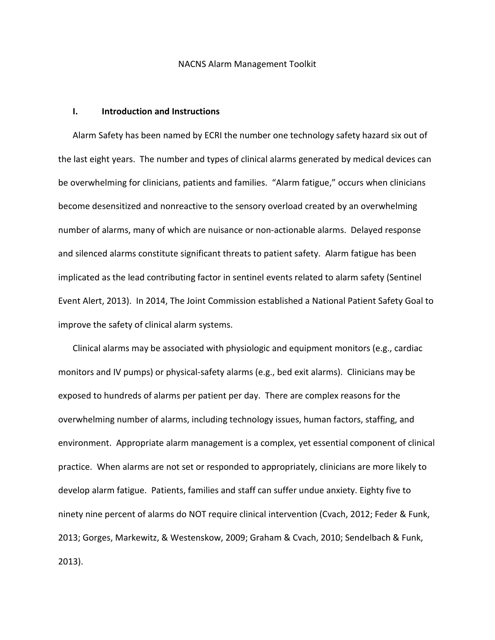#### NACNS Alarm Management Toolkit

#### **I. Introduction and Instructions**

Alarm Safety has been named by ECRI the number one technology safety hazard six out of the last eight years. The number and types of clinical alarms generated by medical devices can be overwhelming for clinicians, patients and families. "Alarm fatigue," occurs when clinicians become desensitized and nonreactive to the sensory overload created by an overwhelming number of alarms, many of which are nuisance or non-actionable alarms. Delayed response and silenced alarms constitute significant threats to patient safety. Alarm fatigue has been implicated as the lead contributing factor in sentinel events related to alarm safety (Sentinel Event Alert, 2013). In 2014, The Joint Commission established a National Patient Safety Goal to improve the safety of clinical alarm systems.

Clinical alarms may be associated with physiologic and equipment monitors (e.g., cardiac monitors and IV pumps) or physical-safety alarms (e.g., bed exit alarms). Clinicians may be exposed to hundreds of alarms per patient per day. There are complex reasons for the overwhelming number of alarms, including technology issues, human factors, staffing, and environment. Appropriate alarm management is a complex, yet essential component of clinical practice. When alarms are not set or responded to appropriately, clinicians are more likely to develop alarm fatigue. Patients, families and staff can suffer undue anxiety. Eighty five to ninety nine percent of alarms do NOT require clinical intervention (Cvach, 2012; Feder & Funk, 2013; Gorges, Markewitz, & Westenskow, 2009; Graham & Cvach, 2010; Sendelbach & Funk, 2013).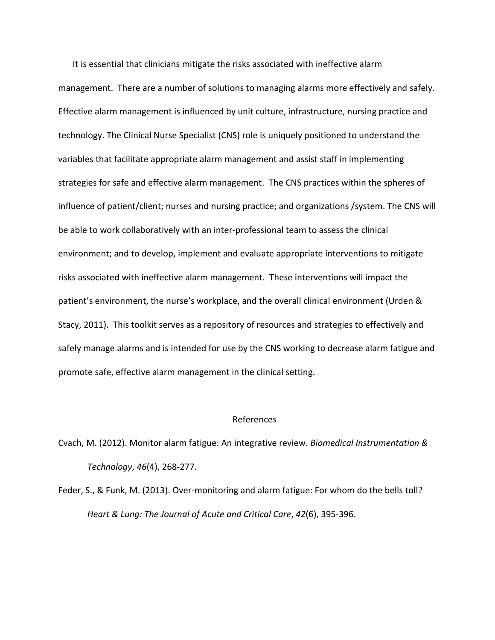It is essential that clinicians mitigate the risks associated with ineffective alarm management. There are a number of solutions to managing alarms more effectively and safely. Effective alarm management is influenced by unit culture, infrastructure, nursing practice and technology. The Clinical Nurse Specialist (CNS) role is uniquely positioned to understand the variables that facilitate appropriate alarm management and assist staff in implementing strategies for safe and effective alarm management. The CNS practices within the spheres of influence of patient/client; nurses and nursing practice; and organizations /system. The CNS will be able to work collaboratively with an inter-professional team to assess the clinical environment; and to develop, implement and evaluate appropriate interventions to mitigate risks associated with ineffective alarm management. These interventions will impact the patient's environment, the nurse's workplace, and the overall clinical environment (Urden & Stacy, 2011). This toolkit serves as a repository of resources and strategies to effectively and safely manage alarms and is intended for use by the CNS working to decrease alarm fatigue and promote safe, effective alarm management in the clinical setting.

#### References

Cvach, M. (2012). Monitor alarm fatigue: An integrative review. *Biomedical Instrumentation & Technology*, *46*(4), 268-277.

Feder, S., & Funk, M. (2013). Over-monitoring and alarm fatigue: For whom do the bells toll? *Heart & Lung: The Journal of Acute and Critical Care*, *42*(6), 395-396.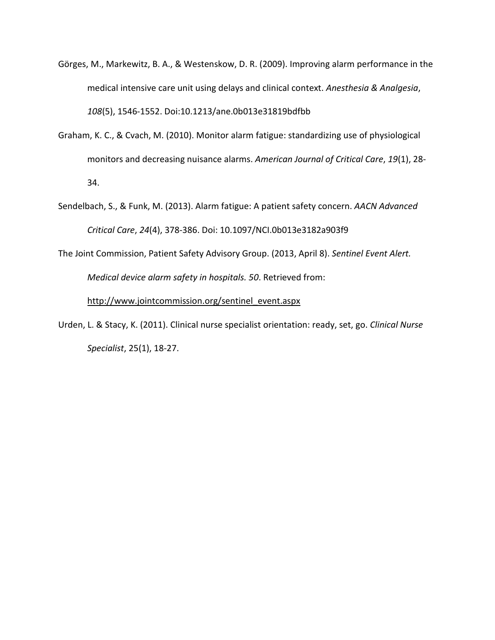- Görges, M., Markewitz, B. A., & Westenskow, D. R. (2009). Improving alarm performance in the medical intensive care unit using delays and clinical context. *Anesthesia & Analgesia*, *108*(5), 1546-1552. Doi:10.1213/ane.0b013e31819bdfbb
- Graham, K. C., & Cvach, M. (2010). Monitor alarm fatigue: standardizing use of physiological monitors and decreasing nuisance alarms. *American Journal of Critical Care*, *19*(1), 28- 34.
- Sendelbach, S., & Funk, M. (2013). Alarm fatigue: A patient safety concern. *AACN Advanced Critical Care*, *24*(4), 378-386. Doi: 10.1097/NCI.0b013e3182a903f9
- The Joint Commission, Patient Safety Advisory Group. (2013, April 8). *Sentinel Event Alert. Medical device alarm safety in hospitals. 50*. Retrieved from:

[http://www.jointcommission.org/sentinel\\_event.aspx](http://www.jointcommission.org/sentinel_event.aspx)

Urden, L. & Stacy, K. (2011). Clinical nurse specialist orientation: ready, set, go. *Clinical Nurse Specialist*, 25(1), 18-27.